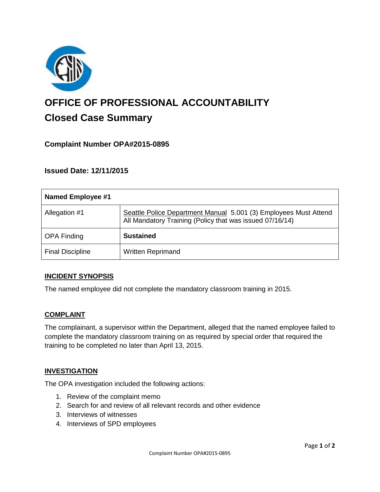

# **OFFICE OF PROFESSIONAL ACCOUNTABILITY Closed Case Summary**

# **Complaint Number OPA#2015-0895**

## **Issued Date: 12/11/2015**

| <b>Named Employee #1</b> |                                                                                                                              |
|--------------------------|------------------------------------------------------------------------------------------------------------------------------|
| Allegation #1            | Seattle Police Department Manual 5.001 (3) Employees Must Attend<br>All Mandatory Training (Policy that was issued 07/16/14) |
| <b>OPA Finding</b>       | <b>Sustained</b>                                                                                                             |
| <b>Final Discipline</b>  | <b>Written Reprimand</b>                                                                                                     |

#### **INCIDENT SYNOPSIS**

The named employee did not complete the mandatory classroom training in 2015.

#### **COMPLAINT**

The complainant, a supervisor within the Department, alleged that the named employee failed to complete the mandatory classroom training on as required by special order that required the training to be completed no later than April 13, 2015.

#### **INVESTIGATION**

The OPA investigation included the following actions:

- 1. Review of the complaint memo
- 2. Search for and review of all relevant records and other evidence
- 3. Interviews of witnesses
- 4. Interviews of SPD employees